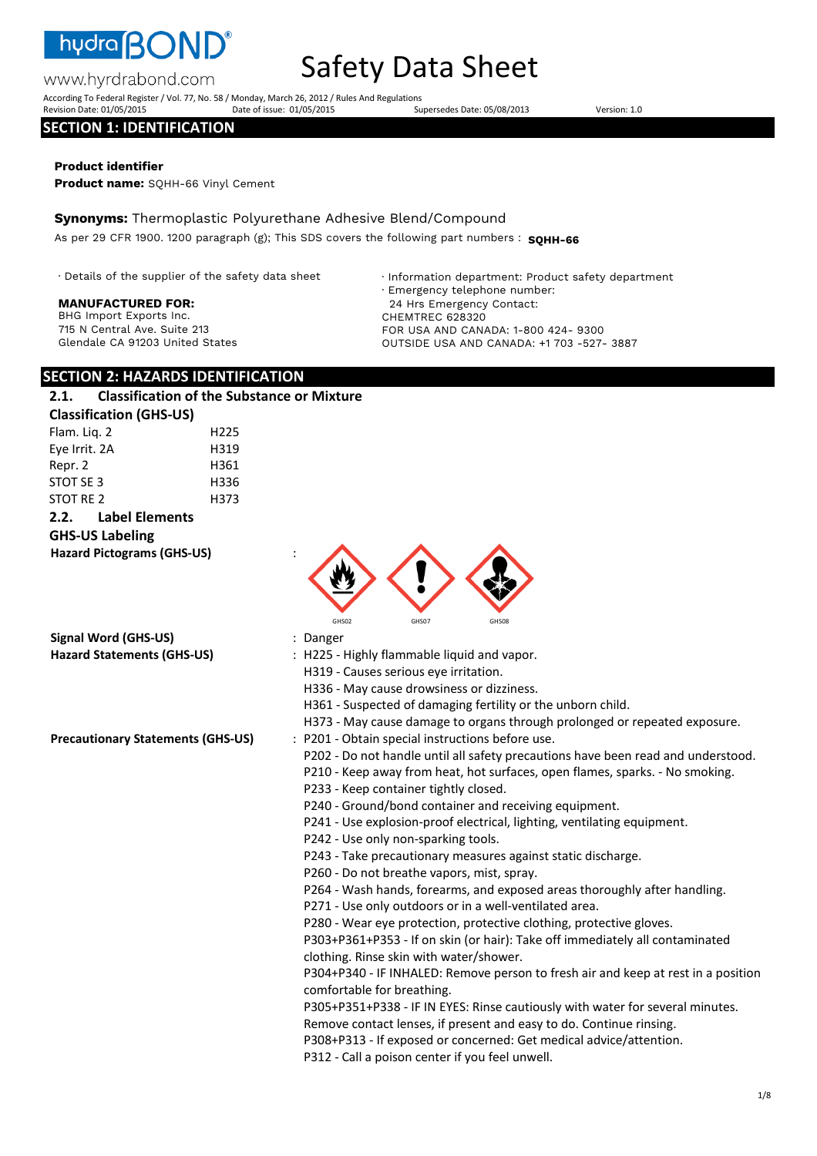

# Safety Data Sheet

According To Federal Register / Vol. 77, No. 58 / Monday, March 26, 2012 / Rules And Regulations Revision Date: 01/05/2015 Date of issue: 01/05/2015 Supersedes Date: 05/08/2013 Version: 1.0

#### **SECTION 1: IDENTIFICATION**

www.hyrdrabond.com

#### **Product identifier**

**Product name:** SQHH-66 Vinyl Cement

**Synonyms:** Thermoplastic Polyurethane Adhesive Blend/Compound

As per 29 CFR 1900. 1200 paragraph (g); This SDS covers the following part numbers : **SQHH-66** 

· Details of the supplier of the safety data sheet

#### **MANUFACTURED FOR:**

BHG Import Exports Inc. 715 N Central Ave. Suite 213 Glendale CA 91203 United States · Information department: Product safety department · Emergency telephone number: 24 Hrs Emergency Contact: CHEMTREC 628320 FOR USA AND CANADA: 1-800 424- 9300 OUTSIDE USA AND CANADA: +1 703 -527- 3887

### **SECTION 2: HAZARDS IDENTIFICATION**

# **2.1. Classification of the Substance or Mixture**

| <b>Classification (GHS-US)</b> |                       |                  |
|--------------------------------|-----------------------|------------------|
| Flam. Lig. 2                   |                       | H <sub>225</sub> |
| Eye Irrit. 2A                  |                       | H319             |
| Repr. 2                        |                       | H361             |
| STOT SE 3                      |                       | H336             |
| STOT RE 2                      |                       | H373             |
| 2.2.                           | <b>Label Elements</b> |                  |

#### **GHS-US Labeling**

**Hazard Pictograms (GHS-US)** :



**Signal Word (GHS-US)** : Danger

- 
- **Hazard Statements (GHS-US)** : H225 Highly flammable liquid and vapor.
	- H319 Causes serious eye irritation.
	- H336 May cause drowsiness or dizziness.
	- H361 Suspected of damaging fertility or the unborn child.
	- H373 May cause damage to organs through prolonged or repeated exposure.
- **Precautionary Statements (GHS-US)** : P201 Obtain special instructions before use.
	- P202 Do not handle until all safety precautions have been read and understood.
	- P210 Keep away from heat, hot surfaces, open flames, sparks. No smoking.
	- P233 Keep container tightly closed.
	- P240 Ground/bond container and receiving equipment.
	- P241 Use explosion-proof electrical, lighting, ventilating equipment.
	- P242 Use only non-sparking tools.
	- P243 Take precautionary measures against static discharge.
	- P260 Do not breathe vapors, mist, spray.
	- P264 Wash hands, forearms, and exposed areas thoroughly after handling.
	- P271 Use only outdoors or in a well-ventilated area.

P280 - Wear eye protection, protective clothing, protective gloves.

P303+P361+P353 - If on skin (or hair): Take off immediately all contaminated clothing. Rinse skin with water/shower.

P304+P340 - IF INHALED: Remove person to fresh air and keep at rest in a position comfortable for breathing.

P305+P351+P338 - IF IN EYES: Rinse cautiously with water for several minutes.

Remove contact lenses, if present and easy to do. Continue rinsing.

P308+P313 - If exposed or concerned: Get medical advice/attention.

P312 - Call a poison center if you feel unwell.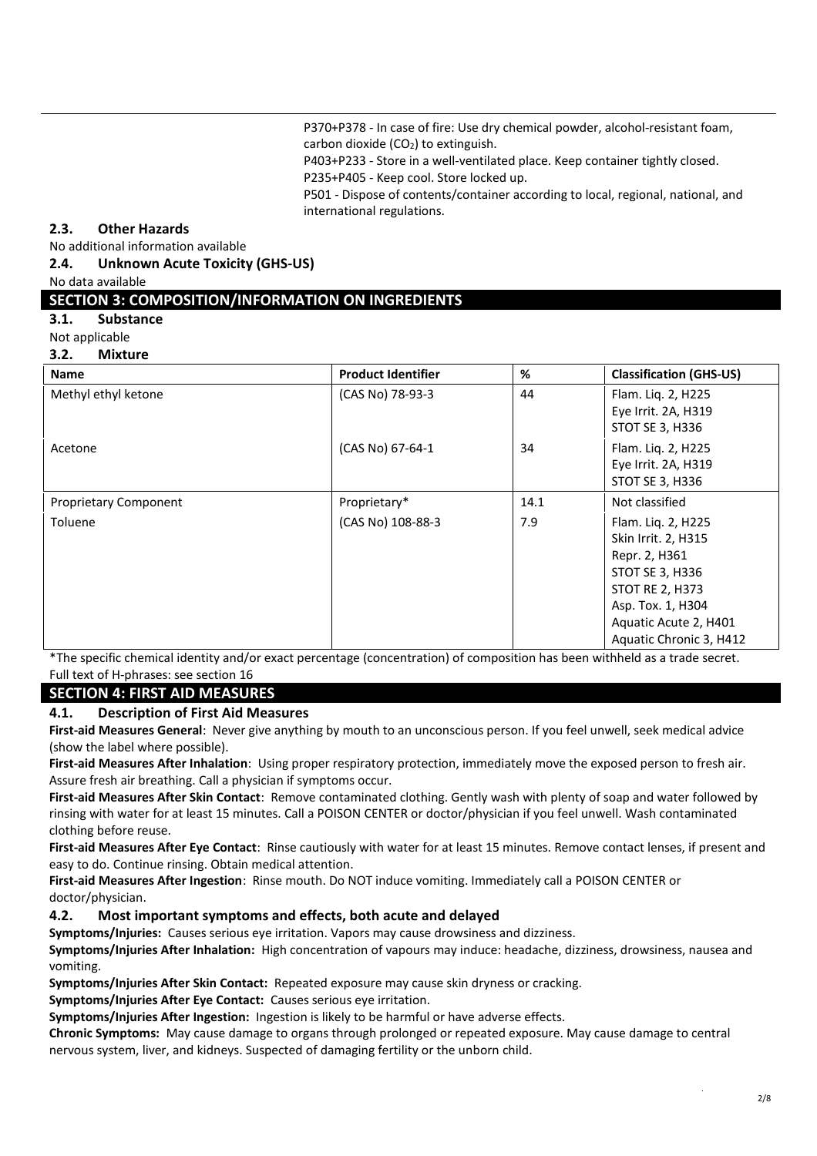P370+P378 - In case of fire: Use dry chemical powder, alcohol-resistant foam, carbon dioxide  $(CO<sub>2</sub>)$  to extinguish.

P403+P233 - Store in a well-ventilated place. Keep container tightly closed. P235+P405 - Keep cool. Store locked up.

P501 - Dispose of contents/container according to local, regional, national, and international regulations.

#### **2.3. Other Hazards**

No additional information available

**2.4. Unknown Acute Toxicity (GHS-US)** 

#### No data available

#### **SECTION 3: COMPOSITION/INFORMATION ON INGREDIENTS**

- **3.1. Substance**
- Not applicable
- **3.2. Mixture**

| <b>Name</b>                  | <b>Product Identifier</b> | %    | <b>Classification (GHS-US)</b>                                                                                                                                                          |
|------------------------------|---------------------------|------|-----------------------------------------------------------------------------------------------------------------------------------------------------------------------------------------|
| Methyl ethyl ketone          | (CAS No) 78-93-3          | 44   | Flam. Liq. 2, H225<br>Eye Irrit. 2A, H319<br><b>STOT SE 3, H336</b>                                                                                                                     |
| Acetone                      | (CAS No) 67-64-1          | 34   | Flam. Liq. 2, H225<br>Eye Irrit. 2A, H319<br>STOT SE 3, H336                                                                                                                            |
| <b>Proprietary Component</b> | Proprietary*              | 14.1 | Not classified                                                                                                                                                                          |
| <b>Toluene</b>               | (CAS No) 108-88-3         | 7.9  | Flam. Liq. 2, H225<br>Skin Irrit. 2, H315<br>Repr. 2, H361<br><b>STOT SE 3, H336</b><br><b>STOT RE 2, H373</b><br>Asp. Tox. 1, H304<br>Aquatic Acute 2, H401<br>Aquatic Chronic 3, H412 |

\*The specific chemical identity and/or exact percentage (concentration) of composition has been withheld as a trade secret. Full text of H-phrases: see section 16

#### **SECTION 4: FIRST AID MEASURES**

#### **4.1. Description of First Aid Measures**

**First-aid Measures General**: Never give anything by mouth to an unconscious person. If you feel unwell, seek medical advice (show the label where possible).

**First-aid Measures After Inhalation**: Using proper respiratory protection, immediately move the exposed person to fresh air. Assure fresh air breathing. Call a physician if symptoms occur.

**First-aid Measures After Skin Contact**: Remove contaminated clothing. Gently wash with plenty of soap and water followed by rinsing with water for at least 15 minutes. Call a POISON CENTER or doctor/physician if you feel unwell. Wash contaminated clothing before reuse.

**First-aid Measures After Eye Contact**: Rinse cautiously with water for at least 15 minutes. Remove contact lenses, if present and easy to do. Continue rinsing. Obtain medical attention.

**First-aid Measures After Ingestion**: Rinse mouth. Do NOT induce vomiting. Immediately call a POISON CENTER or doctor/physician.

#### **4.2. Most important symptoms and effects, both acute and delayed**

**Symptoms/Injuries:** Causes serious eye irritation. Vapors may cause drowsiness and dizziness.

**Symptoms/Injuries After Inhalation:** High concentration of vapours may induce: headache, dizziness, drowsiness, nausea and vomiting.

**Symptoms/Injuries After Skin Contact:** Repeated exposure may cause skin dryness or cracking.

**Symptoms/Injuries After Eye Contact:** Causes serious eye irritation.

**Symptoms/Injuries After Ingestion:** Ingestion is likely to be harmful or have adverse effects.

**Chronic Symptoms:** May cause damage to organs through prolonged or repeated exposure. May cause damage to central nervous system, liver, and kidneys. Suspected of damaging fertility or the unborn child.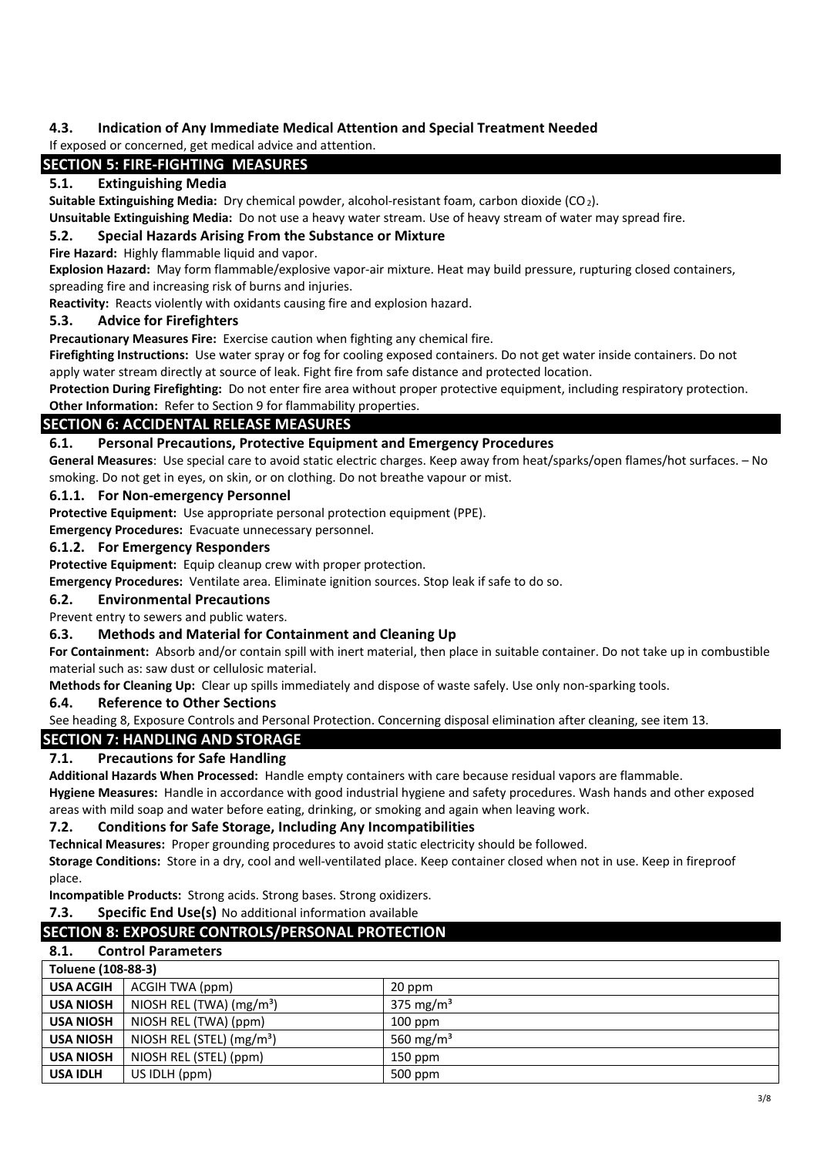### **4.3. Indication of Any Immediate Medical Attention and Special Treatment Needed**

#### If exposed or concerned, get medical advice and attention.

### **SECTION 5: FIRE-FIGHTING MEASURES**

#### **5.1. Extinguishing Media**

**Suitable Extinguishing Media:** Dry chemical powder, alcohol-resistant foam, carbon dioxide (CO2).

**Unsuitable Extinguishing Media:** Do not use a heavy water stream. Use of heavy stream of water may spread fire.

#### **5.2. Special Hazards Arising From the Substance or Mixture**

**Fire Hazard:** Highly flammable liquid and vapor.

**Explosion Hazard:** May form flammable/explosive vapor-air mixture. Heat may build pressure, rupturing closed containers, spreading fire and increasing risk of burns and injuries.

**Reactivity:** Reacts violently with oxidants causing fire and explosion hazard.

#### **5.3. Advice for Firefighters**

**Precautionary Measures Fire:** Exercise caution when fighting any chemical fire.

**Firefighting Instructions:** Use water spray or fog for cooling exposed containers. Do not get water inside containers. Do not apply water stream directly at source of leak. Fight fire from safe distance and protected location.

**Protection During Firefighting:** Do not enter fire area without proper protective equipment, including respiratory protection. **Other Information:** Refer to Section 9 for flammability properties.

# **SECTION 6: ACCIDENTAL RELEASE MEASURES**

**6.1. Personal Precautions, Protective Equipment and Emergency Procedures** 

**General Measures**: Use special care to avoid static electric charges. Keep away from heat/sparks/open flames/hot surfaces. – No smoking. Do not get in eyes, on skin, or on clothing. Do not breathe vapour or mist.

#### **6.1.1. For Non-emergency Personnel**

**Protective Equipment:** Use appropriate personal protection equipment (PPE).

**Emergency Procedures:** Evacuate unnecessary personnel.

#### **6.1.2. For Emergency Responders**

**Protective Equipment:** Equip cleanup crew with proper protection.

**Emergency Procedures:** Ventilate area. Eliminate ignition sources. Stop leak if safe to do so.

#### **6.2. Environmental Precautions**

Prevent entry to sewers and public waters.

#### **6.3. Methods and Material for Containment and Cleaning Up**

**For Containment:** Absorb and/or contain spill with inert material, then place in suitable container. Do not take up in combustible material such as: saw dust or cellulosic material.

**Methods for Cleaning Up:** Clear up spills immediately and dispose of waste safely. Use only non-sparking tools.

#### **6.4. Reference to Other Sections**

See heading 8, Exposure Controls and Personal Protection. Concerning disposal elimination after cleaning, see item 13.

### **SECTION 7: HANDLING AND STORAGE**

#### **7.1. Precautions for Safe Handling**

**Additional Hazards When Processed:** Handle empty containers with care because residual vapors are flammable.

**Hygiene Measures:** Handle in accordance with good industrial hygiene and safety procedures. Wash hands and other exposed areas with mild soap and water before eating, drinking, or smoking and again when leaving work.

#### **7.2. Conditions for Safe Storage, Including Any Incompatibilities**

**Technical Measures:** Proper grounding procedures to avoid static electricity should be followed.

**Storage Conditions:** Store in a dry, cool and well-ventilated place. Keep container closed when not in use. Keep in fireproof place.

**Incompatible Products:** Strong acids. Strong bases. Strong oxidizers.

**7.3. Specific End Use(s)** No additional information available

# **SECTION 8: EXPOSURE CONTROLS/PERSONAL PROTECTION**

## **8.1. Control Parameters**

| Toluene (108-88-3) |                                      |                       |
|--------------------|--------------------------------------|-----------------------|
| <b>USA ACGIH</b>   | ACGIH TWA (ppm)                      | 20 ppm                |
| <b>USA NIOSH</b>   | NIOSH REL (TWA) (mg/m <sup>3</sup> ) | 375 mg/m <sup>3</sup> |
| <b>USA NIOSH</b>   | NIOSH REL (TWA) (ppm)                | $100$ ppm             |
| <b>USA NIOSH</b>   | NIOSH REL (STEL) $(mg/m3)$           | 560 mg/m <sup>3</sup> |
| <b>USA NIOSH</b>   | NIOSH REL (STEL) (ppm)               | $150$ ppm             |
| <b>USA IDLH</b>    | US IDLH (ppm)                        | 500 ppm               |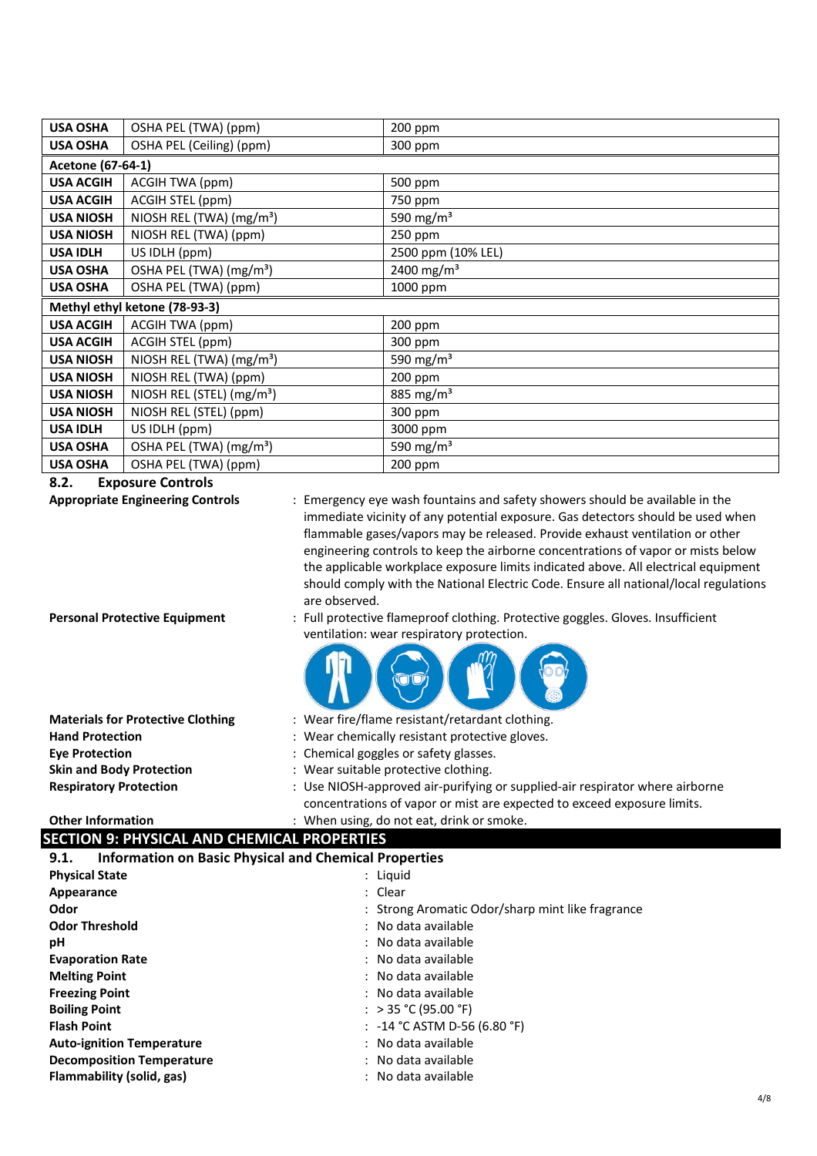| <b>USA OSHA</b>               | OSHA PEL (TWA) (ppm)                  | 200 ppm                |  |
|-------------------------------|---------------------------------------|------------------------|--|
| <b>USA OSHA</b>               | OSHA PEL (Ceiling) (ppm)              | 300 ppm                |  |
|                               | Acetone (67-64-1)                     |                        |  |
| <b>USA ACGIH</b>              | ACGIH TWA (ppm)                       | 500 ppm                |  |
| <b>USA ACGIH</b>              | ACGIH STEL (ppm)                      | 750 ppm                |  |
| <b>USA NIOSH</b>              | NIOSH REL (TWA) (mg/m <sup>3</sup> )  | 590 mg/m <sup>3</sup>  |  |
| <b>USA NIOSH</b>              | NIOSH REL (TWA) (ppm)                 | 250 ppm                |  |
| <b>USA IDLH</b>               | US IDLH (ppm)                         | 2500 ppm (10% LEL)     |  |
| <b>USA OSHA</b>               | OSHA PEL (TWA) (mg/m <sup>3</sup> )   | 2400 mg/m <sup>3</sup> |  |
| <b>USA OSHA</b>               | OSHA PEL (TWA) (ppm)                  | 1000 ppm               |  |
| Methyl ethyl ketone (78-93-3) |                                       |                        |  |
|                               |                                       |                        |  |
| <b>USA ACGIH</b>              | ACGIH TWA (ppm)                       | 200 ppm                |  |
| <b>USA ACGIH</b>              | ACGIH STEL (ppm)                      | 300 ppm                |  |
| <b>USA NIOSH</b>              | NIOSH REL (TWA) (mg/m <sup>3</sup> )  | 590 mg/m $3$           |  |
| <b>USA NIOSH</b>              | NIOSH REL (TWA) (ppm)                 | 200 ppm                |  |
| <b>USA NIOSH</b>              | NIOSH REL (STEL) (mg/m <sup>3</sup> ) | 885 mg/m <sup>3</sup>  |  |
| <b>USA NIOSH</b>              | NIOSH REL (STEL) (ppm)                | 300 ppm                |  |
| <b>USA IDLH</b>               | US IDLH (ppm)                         | 3000 ppm               |  |
| <b>USA OSHA</b>               | OSHA PEL (TWA) (mg/m <sup>3</sup> )   | 590 mg/m <sup>3</sup>  |  |

**8.2. Exposure Controls** 

**Appropriate Engineering Controls** : Emergency eye wash fountains and safety showers should be available in the immediate vicinity of any potential exposure. Gas detectors should be used when flammable gases/vapors may be released. Provide exhaust ventilation or other engineering controls to keep the airborne concentrations of vapor or mists below the applicable workplace exposure limits indicated above. All electrical equipment should comply with the National Electric Code. Ensure all national/local regulations are observed.

- 
- **Personal Protective Equipment** : Full protective flameproof clothing. Protective goggles. Gloves. Insufficient ventilation: wear respiratory protection.

| $=$   | m | ৺ |
|-------|---|---|
| וורוז |   |   |

**Materials for Protective Clothing** : Wear fire/flame resistant/retardant clothing. **Hand Protection** : Wear chemically resistant protective gloves. **Eye Protection** : Chemical goggles or safety glasses. **Skin and Body Protection** : Wear suitable protective clothing. **Respiratory Protection** : Use NIOSH-approved air-purifying or supplied-air respirator where airborne concentrations of vapor or mist are expected to exceed exposure limits.

#### **Other Information** : When using, do not eat, drink or smoke.

# **SECTION 9: PHYSICAL AND CHEMICAL PROPERTIES**

| <b>Information on Basic Physical and Chemical Properties</b><br>9.1. |                                                  |
|----------------------------------------------------------------------|--------------------------------------------------|
| <b>Physical State</b>                                                | : Liquid                                         |
| Appearance                                                           | : Clear                                          |
| Odor                                                                 | : Strong Aromatic Odor/sharp mint like fragrance |
| <b>Odor Threshold</b>                                                | : No data available                              |
| рH                                                                   | : No data available                              |
| <b>Evaporation Rate</b>                                              | : No data available                              |
| <b>Melting Point</b>                                                 | : No data available                              |
| <b>Freezing Point</b>                                                | : No data available                              |
| <b>Boiling Point</b>                                                 | : > 35 °C (95.00 °F)                             |
| <b>Flash Point</b>                                                   | : $-14$ °C ASTM D-56 (6.80 °F)                   |
| <b>Auto-ignition Temperature</b>                                     | : No data available                              |
| <b>Decomposition Temperature</b>                                     | : No data available                              |
| Flammability (solid, gas)                                            | : No data available                              |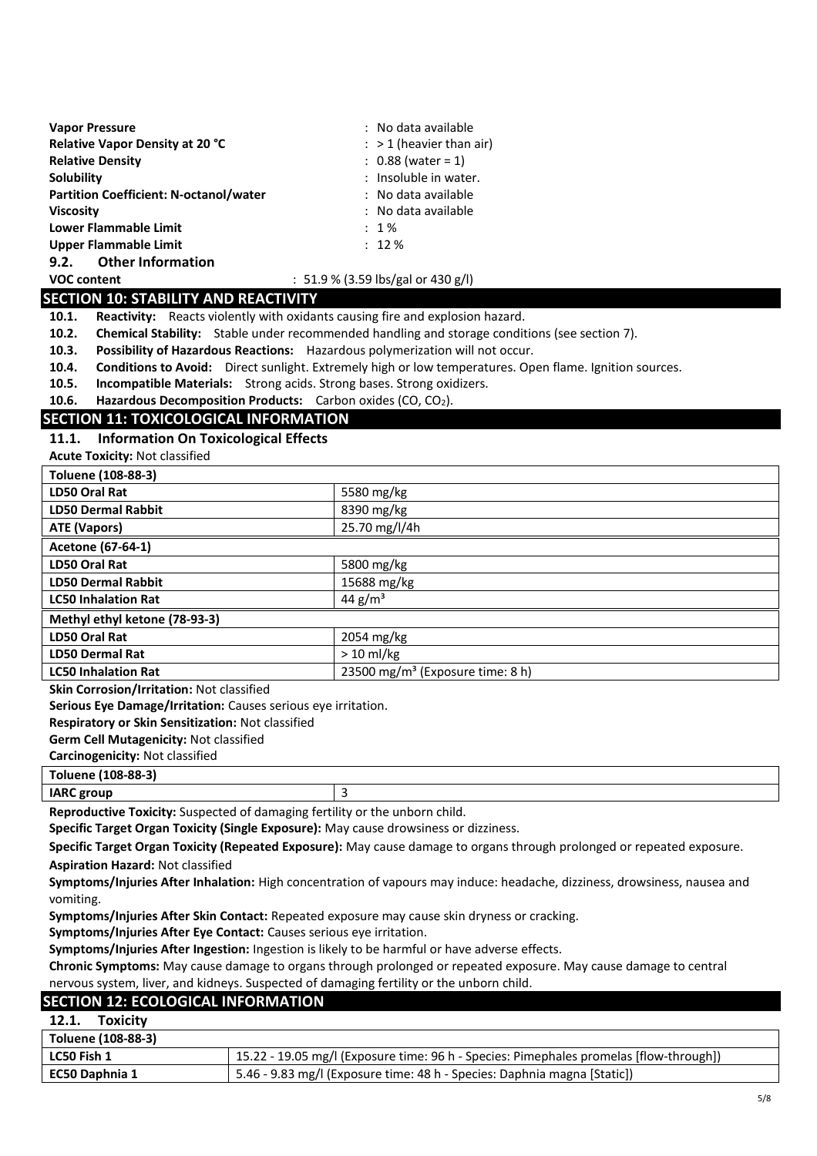| <b>Vapor Pressure</b>                         | : No data available        |
|-----------------------------------------------|----------------------------|
| Relative Vapor Density at 20 °C               | $:$ > 1 (heavier than air) |
| <b>Relative Density</b>                       | $: 0.88$ (water = 1)       |
| Solubility                                    | : Insoluble in water.      |
| <b>Partition Coefficient: N-octanol/water</b> | : No data available        |
| <b>Viscosity</b>                              | : No data available        |
| <b>Lower Flammable Limit</b>                  | $: 1\%$                    |
| <b>Upper Flammable Limit</b>                  | $: 12 \%$                  |
| <b>Other Information</b><br>9.2.              |                            |

#### **VOC content** : 51.9 % (3.59 lbs/gal or 430 g/l)

#### **SECTION 10: STABILITY AND REACTIVITY**

**10.1. Reactivity:** Reacts violently with oxidants causing fire and explosion hazard.

**10.2. Chemical Stability:** Stable under recommended handling and storage conditions (see section 7).

**10.3. Possibility of Hazardous Reactions:** Hazardous polymerization will not occur.

**10.4. Conditions to Avoid:** Direct sunlight. Extremely high or low temperatures. Open flame. Ignition sources.

**10.5. Incompatible Materials:** Strong acids. Strong bases. Strong oxidizers.

**10.6. Hazardous Decomposition Products:** Carbon oxides (CO, CO2).

#### **SECTION 11: TOXICOLOGICAL INFORMATION**

**11.1. Information On Toxicological Effects** 

**Acute Toxicity:** Not classified

| Toluene (108-88-3)            |                                              |  |
|-------------------------------|----------------------------------------------|--|
| LD50 Oral Rat                 | 5580 mg/kg                                   |  |
| <b>LD50 Dermal Rabbit</b>     | 8390 mg/kg                                   |  |
| <b>ATE (Vapors)</b>           | 25.70 mg/l/4h                                |  |
| Acetone (67-64-1)             |                                              |  |
| LD50 Oral Rat                 | 5800 mg/kg                                   |  |
| <b>LD50 Dermal Rabbit</b>     | 15688 mg/kg                                  |  |
| <b>LC50 Inhalation Rat</b>    | 44 $g/m^3$                                   |  |
| Methyl ethyl ketone (78-93-3) |                                              |  |
| LD50 Oral Rat                 | 2054 mg/kg                                   |  |
| <b>LD50 Dermal Rat</b>        | $> 10$ ml/kg                                 |  |
| <b>LC50 Inhalation Rat</b>    | 23500 mg/m <sup>3</sup> (Exposure time: 8 h) |  |
|                               |                                              |  |

**Skin Corrosion/Irritation:** Not classified

**Serious Eye Damage/Irritation:** Causes serious eye irritation.

**Respiratory or Skin Sensitization:** Not classified

**Germ Cell Mutagenicity:** Not classified

**Carcinogenicity:** Not classified

**Toluene (108-88-3)** 

**IARC group 3** 

**Reproductive Toxicity:** Suspected of damaging fertility or the unborn child.

**Specific Target Organ Toxicity (Single Exposure):** May cause drowsiness or dizziness.

**Specific Target Organ Toxicity (Repeated Exposure):** May cause damage to organs through prolonged or repeated exposure.

**Aspiration Hazard:** Not classified

**Symptoms/Injuries After Inhalation:** High concentration of vapours may induce: headache, dizziness, drowsiness, nausea and vomiting.

**Symptoms/Injuries After Skin Contact:** Repeated exposure may cause skin dryness or cracking.

**Symptoms/Injuries After Eye Contact:** Causes serious eye irritation.

**Symptoms/Injuries After Ingestion:** Ingestion is likely to be harmful or have adverse effects.

**Chronic Symptoms:** May cause damage to organs through prolonged or repeated exposure. May cause damage to central nervous system, liver, and kidneys. Suspected of damaging fertility or the unborn child.

#### **SECTION 12: ECOLOGICAL INFORMATION**

| 12.1.<br><b>Toxicity</b> |                                                                                        |
|--------------------------|----------------------------------------------------------------------------------------|
| Toluene (108-88-3)       |                                                                                        |
| LC50 Fish 1              | 15.22 - 19.05 mg/l (Exposure time: 96 h - Species: Pimephales promelas [flow-through]) |
| <b>EC50 Daphnia 1</b>    | 5.46 - 9.83 mg/l (Exposure time: 48 h - Species: Daphnia magna [Static])               |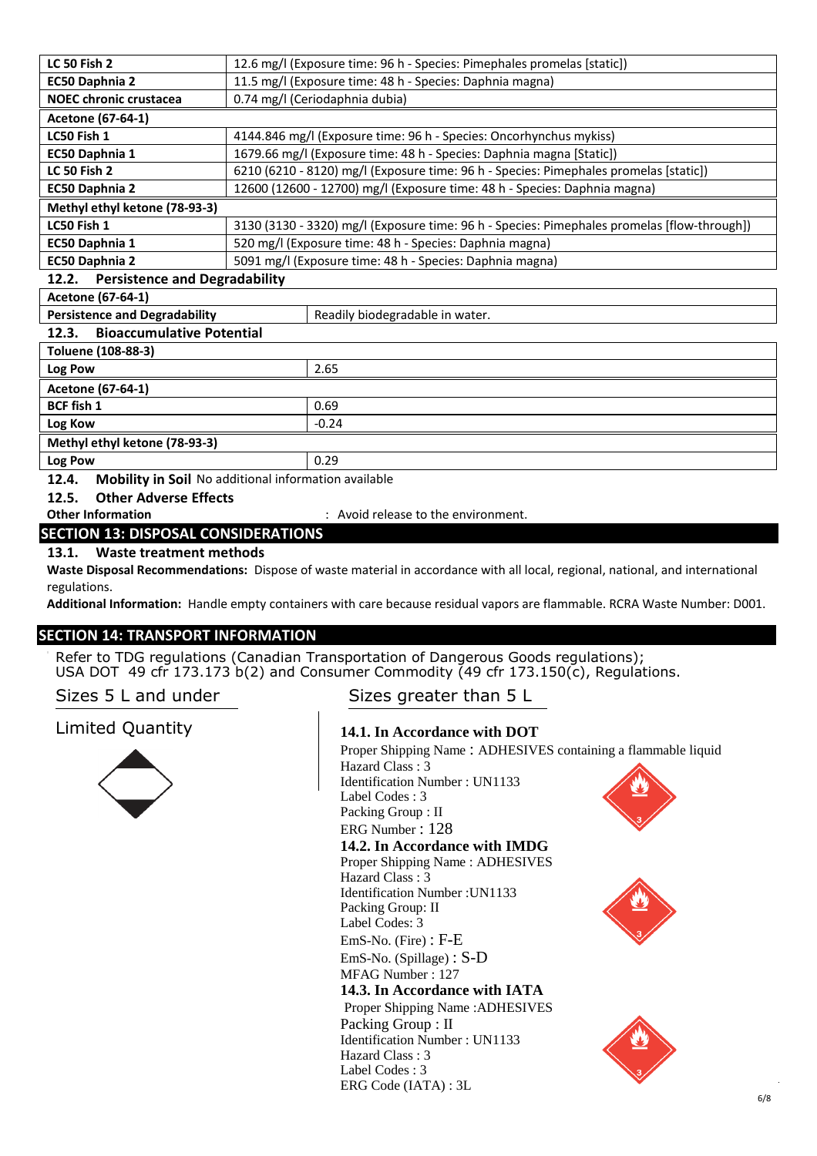| <b>LC 50 Fish 2</b>                                                     | 12.6 mg/l (Exposure time: 96 h - Species: Pimephales promelas [static])                     |  |  |
|-------------------------------------------------------------------------|---------------------------------------------------------------------------------------------|--|--|
| EC50 Daphnia 2                                                          | 11.5 mg/l (Exposure time: 48 h - Species: Daphnia magna)                                    |  |  |
| <b>NOEC chronic crustacea</b>                                           | 0.74 mg/l (Ceriodaphnia dubia)                                                              |  |  |
| Acetone (67-64-1)                                                       |                                                                                             |  |  |
| LC50 Fish 1                                                             | 4144.846 mg/l (Exposure time: 96 h - Species: Oncorhynchus mykiss)                          |  |  |
| EC50 Daphnia 1                                                          | 1679.66 mg/l (Exposure time: 48 h - Species: Daphnia magna [Static])                        |  |  |
| <b>LC 50 Fish 2</b>                                                     | 6210 (6210 - 8120) mg/l (Exposure time: 96 h - Species: Pimephales promelas [static])       |  |  |
| EC50 Daphnia 2                                                          | 12600 (12600 - 12700) mg/l (Exposure time: 48 h - Species: Daphnia magna)                   |  |  |
| Methyl ethyl ketone (78-93-3)                                           |                                                                                             |  |  |
| LC50 Fish 1                                                             | 3130 (3130 - 3320) mg/l (Exposure time: 96 h - Species: Pimephales promelas [flow-through]) |  |  |
| EC50 Daphnia 1                                                          | 520 mg/l (Exposure time: 48 h - Species: Daphnia magna)                                     |  |  |
| EC50 Daphnia 2                                                          | 5091 mg/l (Exposure time: 48 h - Species: Daphnia magna)                                    |  |  |
| <b>Persistence and Degradability</b><br>12.2.                           |                                                                                             |  |  |
| Acetone (67-64-1)                                                       |                                                                                             |  |  |
| <b>Persistence and Degradability</b><br>Readily biodegradable in water. |                                                                                             |  |  |
| <b>Bioaccumulative Potential</b><br>12.3.                               |                                                                                             |  |  |
| Toluene (108-88-3)                                                      |                                                                                             |  |  |
| Log Pow                                                                 | 2.65                                                                                        |  |  |
| Acetone (67-64-1)                                                       |                                                                                             |  |  |
| <b>BCF fish 1</b>                                                       | 0.69                                                                                        |  |  |
| Log Kow                                                                 | $-0.24$                                                                                     |  |  |
| Methyl ethyl ketone (78-93-3)                                           |                                                                                             |  |  |
| Log Pow                                                                 | 0.29                                                                                        |  |  |
| Mobility in Soil No additional information available<br>12.4.           |                                                                                             |  |  |
| <b>Other Adverse Effects</b><br>12.5.                                   |                                                                                             |  |  |
| <b>Other Information</b><br>: Avoid release to the environment.         |                                                                                             |  |  |
| <b>SECTION 13: DISPOSAL CONSIDERATIONS</b>                              |                                                                                             |  |  |
|                                                                         |                                                                                             |  |  |

### **13.1. Waste treatment methods**

**Waste Disposal Recommendations:** Dispose of waste material in accordance with all local, regional, national, and international regulations.

**Additional Information:** Handle empty containers with care because residual vapors are flammable. RCRA Waste Number: D001.

### **SECTION 14: TRANSPORT INFORMATION**

Refer to TDG regulations (Canadian Transportation of Dangerous Goods regulations); USA DOT 49 cfr 173.173 b(2) and Consumer Commodity (49 cfr 173.150(c), Regulations.

# Limited Quantity



# Sizes 5 L and under Sizes greater than 5 L

#### **14.1. In Accordance with DOT**

Proper Shipping Name : ADHESIVES containing a flammable liquid Hazard Class : 3 Identification Number : UN1133 Label Codes : 3 Packing Group : II ERG Number : 128 **14.2. In Accordance with IMDG**  Proper Shipping Name : ADHESIVES Hazard Class : 3 Identification Number :UN1133 Packing Group: II Label Codes: 3 EmS-No. (Fire) : F-E EmS-No. (Spillage) : S-D MFAG Number : 127 **14.3. In Accordance with IATA** Proper Shipping Name :ADHESIVES Packing Group : II Identification Number : UN1133 Hazard Class : 3 Label Codes : 3 ERG Code (IATA) : 3L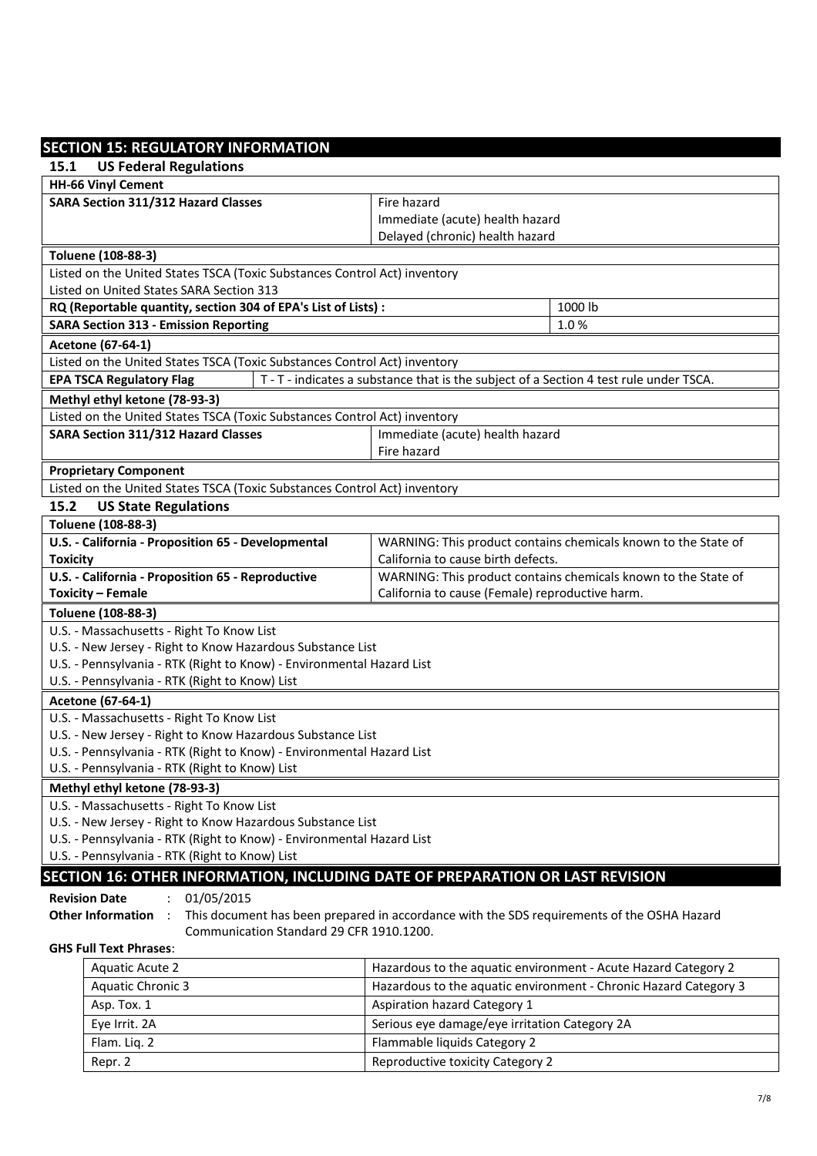#### **SECTION 15: REGULATORY INFORMATION 15.1 US Federal Regulations HH-66 Vinyl Cement SARA Section 311/312 Hazard Classes Fig. 2.1 Fire hazard** Immediate (acute) health hazard Delayed (chronic) health hazard **Toluene (108-88-3)**  Listed on the United States TSCA (Toxic Substances Control Act) inventory Listed on United States SARA Section 313 **RQ (Reportable quantity, section 304 of EPA's List of Lists) : 41000 lb SARA Section 313 - Emission Reporting** <br>
1.0 % **Acetone (67-64-1)**  Listed on the United States TSCA (Toxic Substances Control Act) inventory **EPA TSCA Regulatory Flag The T - T - indicates a substance that is the subject of a Section 4 test rule under TSCA. Methyl ethyl ketone (78-93-3)**  Listed on the United States TSCA (Toxic Substances Control Act) inventory **SARA Section 311/312 Hazard Classes** Immediate (acute) health hazard Fire hazard **Proprietary Component**  Listed on the United States TSCA (Toxic Substances Control Act) inventory **15.2 US State Regulations Toluene (108-88-3) U.S. - California - Proposition 65 - Developmental Toxicity**  WARNING: This product contains chemicals known to the State of California to cause birth defects. **U.S. - California - Proposition 65 - Reproductive Toxicity – Female**  WARNING: This product contains chemicals known to the State of California to cause (Female) reproductive harm. **Toluene (108-88-3)**  U.S. - Massachusetts - Right To Know List U.S. - New Jersey - Right to Know Hazardous Substance List U.S. - Pennsylvania - RTK (Right to Know) - Environmental Hazard List U.S. - Pennsylvania - RTK (Right to Know) List **Acetone (67-64-1)**  U.S. - Massachusetts - Right To Know List U.S. - New Jersey - Right to Know Hazardous Substance List U.S. - Pennsylvania - RTK (Right to Know) - Environmental Hazard List U.S. - Pennsylvania - RTK (Right to Know) List **Methyl ethyl ketone (78-93-3)**  U.S. - Massachusetts - Right To Know List U.S. - New Jersey - Right to Know Hazardous Substance List U.S. - Pennsylvania - RTK (Right to Know) - Environmental Hazard List U.S. - Pennsylvania - RTK (Right to Know) List **SECTION 16: OTHER INFORMATION, INCLUDING DATE OF PREPARATION OR LAST REVISION Revision Date** : 01/05/2015 **Other Information** : This document has been prepared in accordance with the SDS requirements of the OSHA Hazard Communication Standard 29 CFR 1910.1200. **GHS Full Text Phrases**: Aquatic Acute 2 **Hazardous to the aquatic environment - Acute Hazard Category 2** Aquatic Chronic 3 **Hazardous to the aquatic environment - Chronic Hazard Category 3** Asp. Tox. 1 **Asp. Tox. 1** Aspiration hazard Category 1 Eye Irrit. 2A Serious eye damage/eye irritation Category 2A

Flam. Lig. 2 Flammable liquids Category 2 Repr. 2 Reproductive toxicity Category 2